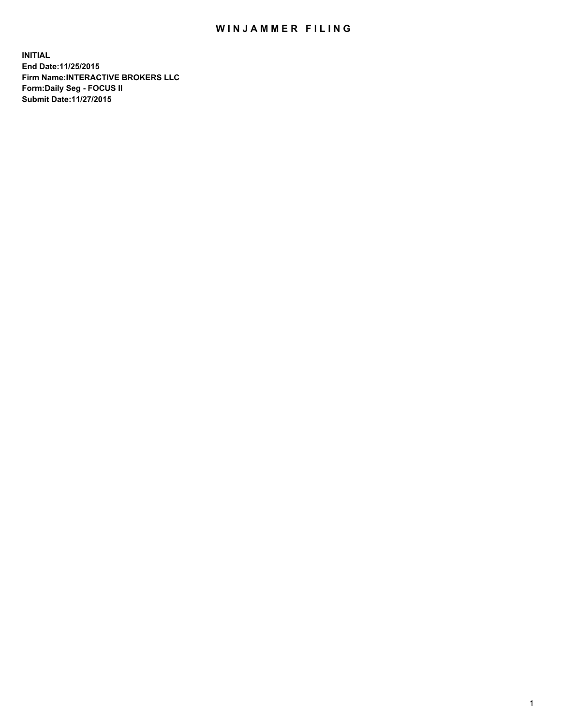## WIN JAMMER FILING

**INITIAL End Date:11/25/2015 Firm Name:INTERACTIVE BROKERS LLC Form:Daily Seg - FOCUS II Submit Date:11/27/2015**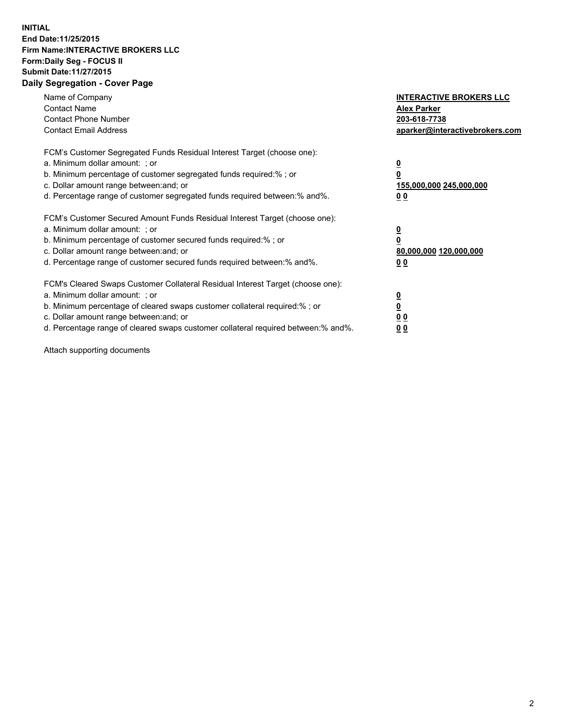## **INITIAL End Date:11/25/2015 Firm Name:INTERACTIVE BROKERS LLC Form:Daily Seg - FOCUS II Submit Date:11/27/2015 Daily Segregation - Cover Page**

| Name of Company<br><b>Contact Name</b><br><b>Contact Phone Number</b><br><b>Contact Email Address</b>                                                                                                                                                                                                                         | <b>INTERACTIVE BROKERS LLC</b><br><b>Alex Parker</b><br>203-618-7738<br>aparker@interactivebrokers.com |
|-------------------------------------------------------------------------------------------------------------------------------------------------------------------------------------------------------------------------------------------------------------------------------------------------------------------------------|--------------------------------------------------------------------------------------------------------|
| FCM's Customer Segregated Funds Residual Interest Target (choose one):<br>a. Minimum dollar amount: ; or<br>b. Minimum percentage of customer segregated funds required:% ; or<br>c. Dollar amount range between: and; or<br>d. Percentage range of customer segregated funds required between:% and%.                        | <u>0</u><br><u>155,000,000 245,000,000</u><br>00                                                       |
| FCM's Customer Secured Amount Funds Residual Interest Target (choose one):<br>a. Minimum dollar amount: ; or<br>b. Minimum percentage of customer secured funds required:% ; or<br>c. Dollar amount range between: and; or<br>d. Percentage range of customer secured funds required between: % and %.                        | $\overline{\mathbf{0}}$<br>80,000,000 120,000,000<br>00                                                |
| FCM's Cleared Swaps Customer Collateral Residual Interest Target (choose one):<br>a. Minimum dollar amount: ; or<br>b. Minimum percentage of cleared swaps customer collateral required:%; or<br>c. Dollar amount range between: and; or<br>d. Percentage range of cleared swaps customer collateral required between:% and%. | <u>0</u><br>0 <sub>0</sub><br><u>00</u>                                                                |

Attach supporting documents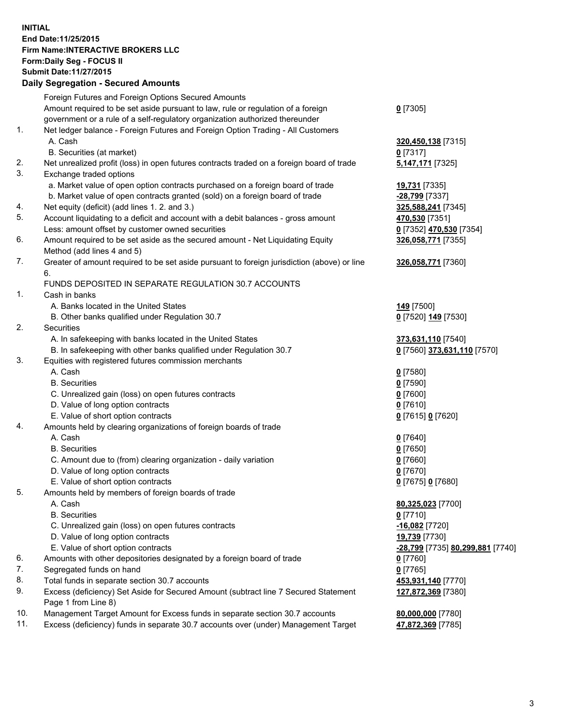## **INITIAL End Date:11/25/2015 Firm Name:INTERACTIVE BROKERS LLC Form:Daily Seg - FOCUS II Submit Date:11/27/2015 Daily Segregation - Secured Amounts**

|     | Foreign Futures and Foreign Options Secured Amounts                                                        |                                  |
|-----|------------------------------------------------------------------------------------------------------------|----------------------------------|
|     | Amount required to be set aside pursuant to law, rule or regulation of a foreign                           | $0$ [7305]                       |
|     | government or a rule of a self-regulatory organization authorized thereunder                               |                                  |
| 1.  | Net ledger balance - Foreign Futures and Foreign Option Trading - All Customers                            |                                  |
|     | A. Cash                                                                                                    | 320,450,138 [7315]               |
|     | B. Securities (at market)                                                                                  | $0$ [7317]                       |
| 2.  | Net unrealized profit (loss) in open futures contracts traded on a foreign board of trade                  | 5,147,171 [7325]                 |
| 3.  | Exchange traded options                                                                                    |                                  |
|     | a. Market value of open option contracts purchased on a foreign board of trade                             | 19,731 [7335]                    |
|     | b. Market value of open contracts granted (sold) on a foreign board of trade                               | -28,799 [7337]                   |
| 4.  | Net equity (deficit) (add lines 1. 2. and 3.)                                                              | 325,588,241 [7345]               |
| 5.  | Account liquidating to a deficit and account with a debit balances - gross amount                          | 470,530 [7351]                   |
|     | Less: amount offset by customer owned securities                                                           | 0 [7352] 470,530 [7354]          |
| 6.  | Amount required to be set aside as the secured amount - Net Liquidating Equity                             | 326,058,771 [7355]               |
|     | Method (add lines 4 and 5)                                                                                 |                                  |
| 7.  | Greater of amount required to be set aside pursuant to foreign jurisdiction (above) or line                | 326,058,771 [7360]               |
|     | 6.                                                                                                         |                                  |
|     | FUNDS DEPOSITED IN SEPARATE REGULATION 30.7 ACCOUNTS                                                       |                                  |
| 1.  | Cash in banks                                                                                              |                                  |
|     | A. Banks located in the United States                                                                      | 149 [7500]                       |
|     | B. Other banks qualified under Regulation 30.7                                                             | 0 [7520] 149 [7530]              |
| 2.  | Securities                                                                                                 |                                  |
|     | A. In safekeeping with banks located in the United States                                                  | 373,631,110 [7540]               |
|     | B. In safekeeping with other banks qualified under Regulation 30.7                                         | 0 [7560] 373,631,110 [7570]      |
| 3.  | Equities with registered futures commission merchants                                                      |                                  |
|     | A. Cash                                                                                                    | $0$ [7580]                       |
|     | <b>B.</b> Securities                                                                                       | $0$ [7590]                       |
|     | C. Unrealized gain (loss) on open futures contracts                                                        | $0$ [7600]                       |
|     | D. Value of long option contracts                                                                          | $0$ [7610]                       |
|     | E. Value of short option contracts                                                                         | 0 [7615] 0 [7620]                |
| 4.  | Amounts held by clearing organizations of foreign boards of trade                                          |                                  |
|     | A. Cash                                                                                                    | $0$ [7640]                       |
|     | <b>B.</b> Securities                                                                                       | $0$ [7650]                       |
|     | C. Amount due to (from) clearing organization - daily variation                                            | $0$ [7660]                       |
|     | D. Value of long option contracts                                                                          | $0$ [7670]                       |
|     | E. Value of short option contracts                                                                         | 0 [7675] 0 [7680]                |
| 5.  | Amounts held by members of foreign boards of trade                                                         |                                  |
|     | A. Cash                                                                                                    | 80,325,023 [7700]                |
|     | <b>B.</b> Securities                                                                                       | $0$ [7710]                       |
|     | C. Unrealized gain (loss) on open futures contracts                                                        | $-16,082$ [7720]                 |
|     | D. Value of long option contracts                                                                          | 19,739 [7730]                    |
|     | E. Value of short option contracts                                                                         | -28,799 [7735] 80,299,881 [7740] |
| 6.  | Amounts with other depositories designated by a foreign board of trade                                     | 0 [7760]                         |
| 7.  | Segregated funds on hand                                                                                   | $0$ [7765]                       |
| 8.  | Total funds in separate section 30.7 accounts                                                              | 453,931,140 [7770]               |
| 9.  | Excess (deficiency) Set Aside for Secured Amount (subtract line 7 Secured Statement<br>Page 1 from Line 8) | 127,872,369 [7380]               |
| 10. | Management Target Amount for Excess funds in separate section 30.7 accounts                                | 80,000,000 [7780]                |
| 11. | Excess (deficiency) funds in separate 30.7 accounts over (under) Management Target                         | 47,872,369 [7785]                |
|     |                                                                                                            |                                  |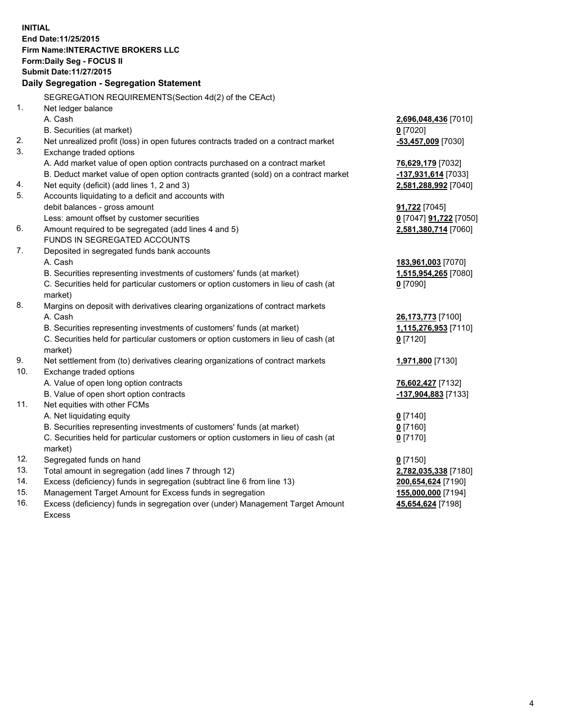**INITIAL End Date:11/25/2015 Firm Name:INTERACTIVE BROKERS LLC Form:Daily Seg - FOCUS II Submit Date:11/27/2015 Daily Segregation - Segregation Statement** SEGREGATION REQUIREMENTS(Section 4d(2) of the CEAct) 1. Net ledger balance A. Cash **2,696,048,436** [7010] B. Securities (at market) **0** [7020] 2. Net unrealized profit (loss) in open futures contracts traded on a contract market **-53,457,009** [7030] 3. Exchange traded options A. Add market value of open option contracts purchased on a contract market **76,629,179** [7032] B. Deduct market value of open option contracts granted (sold) on a contract market **-137,931,614** [7033] 4. Net equity (deficit) (add lines 1, 2 and 3) **2,581,288,992** [7040] 5. Accounts liquidating to a deficit and accounts with debit balances - gross amount **91,722** [7045] Less: amount offset by customer securities **0** [7047] **91,722** [7050] 6. Amount required to be segregated (add lines 4 and 5) **2,581,380,714** [7060] FUNDS IN SEGREGATED ACCOUNTS 7. Deposited in segregated funds bank accounts A. Cash **183,961,003** [7070] B. Securities representing investments of customers' funds (at market) **1,515,954,265** [7080] C. Securities held for particular customers or option customers in lieu of cash (at market) **0** [7090] 8. Margins on deposit with derivatives clearing organizations of contract markets A. Cash **26,173,773** [7100] B. Securities representing investments of customers' funds (at market) **1,115,276,953** [7110] C. Securities held for particular customers or option customers in lieu of cash (at market) **0** [7120] 9. Net settlement from (to) derivatives clearing organizations of contract markets **1,971,800** [7130] 10. Exchange traded options A. Value of open long option contracts **76,602,427** [7132] B. Value of open short option contracts **-137,904,883** [7133] 11. Net equities with other FCMs A. Net liquidating equity **0** [7140] B. Securities representing investments of customers' funds (at market) **0** [7160] C. Securities held for particular customers or option customers in lieu of cash (at market) **0** [7170] 12. Segregated funds on hand **0** [7150] 13. Total amount in segregation (add lines 7 through 12) **2,782,035,338** [7180] 14. Excess (deficiency) funds in segregation (subtract line 6 from line 13) **200,654,624** [7190] 15. Management Target Amount for Excess funds in segregation **155,000,000** [7194] **45,654,624** [7198]

16. Excess (deficiency) funds in segregation over (under) Management Target Amount Excess